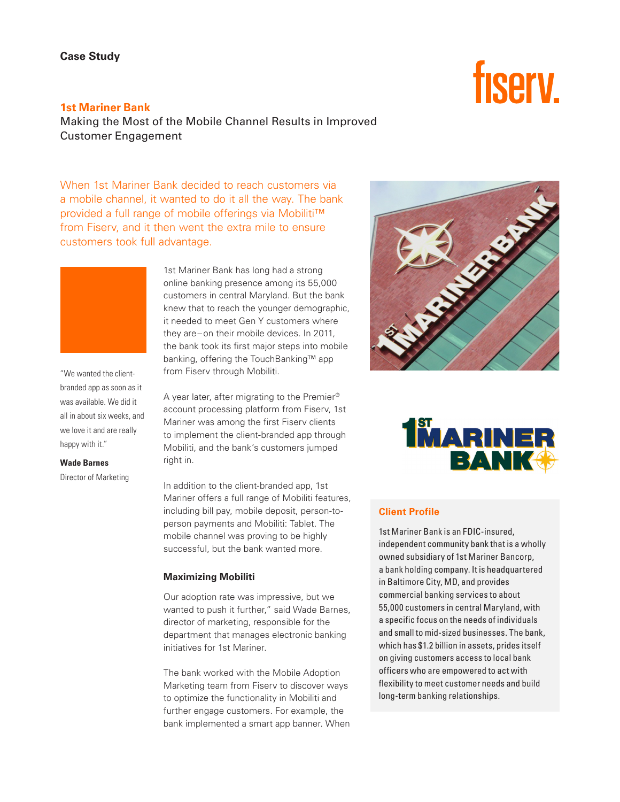# fisery.

**1st Mariner Bank** Making the Most of the Mobile Channel Results in Improved Customer Engagement

When 1st Mariner Bank decided to reach customers via a mobile channel, it wanted to do it all the way. The bank provided a full range of mobile offerings via Mobiliti™ from Fiserv, and it then went the extra mile to ensure customers took full advantage.

> 1st Mariner Bank has long had a strong online banking presence among its 55,000 customers in central Maryland. But the bank knew that to reach the younger demographic, it needed to meet Gen Y customers where they are–on their mobile devices. In 2011, the bank took its first major steps into mobile banking, offering the TouchBanking™ app from Fiserv through Mobiliti.

A year later, after migrating to the Premier® account processing platform from Fiserv, 1st Mariner was among the first Fiserv clients to implement the client-branded app through Mobiliti, and the bank's customers jumped right in.

In addition to the client-branded app, 1st Mariner offers a full range of Mobiliti features, including bill pay, mobile deposit, person-toperson payments and Mobiliti: Tablet. The mobile channel was proving to be highly successful, but the bank wanted more.

#### **Maximizing Mobiliti**

Our adoption rate was impressive, but we wanted to push it further," said Wade Barnes, director of marketing, responsible for the department that manages electronic banking initiatives for 1st Mariner.

The bank worked with the Mobile Adoption Marketing team from Fiserv to discover ways to optimize the functionality in Mobiliti and further engage customers. For example, the bank implemented a smart app banner. When





# **Client Profile**

1st Mariner Bank is an FDIC-insured, independent community bank that is a wholly owned subsidiary of 1st Mariner Bancorp, a bank holding company. It is headquartered in Baltimore City, MD, and provides commercial banking services to about 55,000 customers in central Maryland, with a specific focus on the needs of individuals and small to mid-sized businesses. The bank, which has \$1.2 billion in assets, prides itself on giving customers access to local bank officers who are empowered to act with flexibility to meet customer needs and build long-term banking relationships.

"We wanted the clientbranded app as soon as it was available. We did it all in about six weeks, and we love it and are really happy with it."

**Wade Barnes**

Director of Marketing